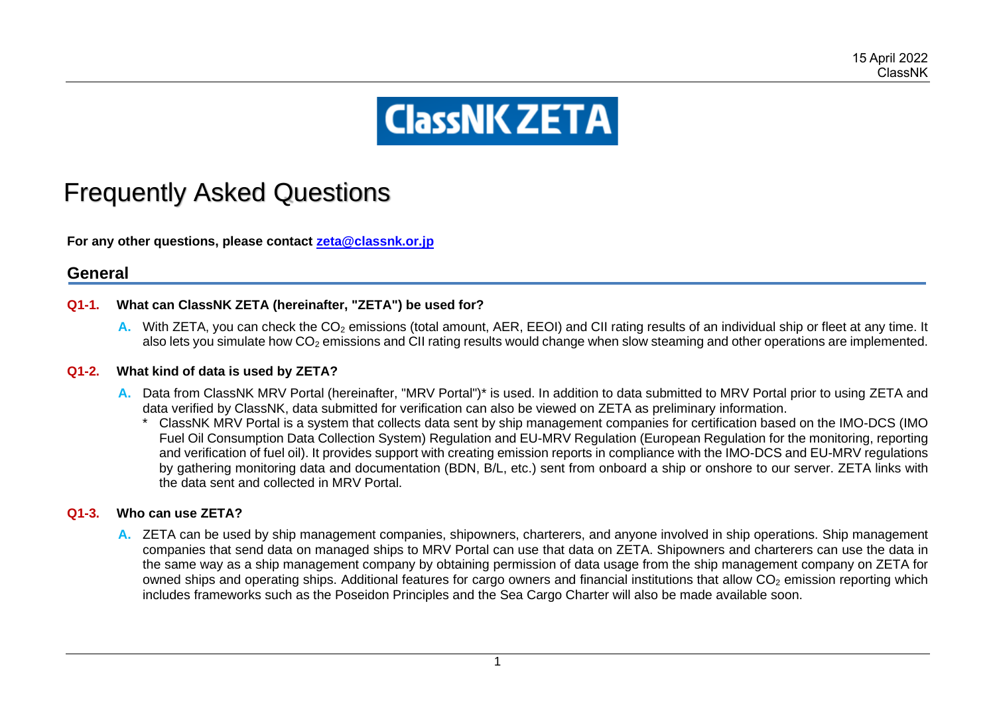# **ClassNK ZETA**

# Frequently Asked Questions

**For any other questions, please contact [zeta@classnk.or.jp](mailto:zeta@classnk.or.jp)**

# **General**

#### **Q1-1. What can ClassNK ZETA (hereinafter, "ZETA") be used for?**

**A.** With ZETA, you can check the CO<sub>2</sub> emissions (total amount, AER, EEOI) and CII rating results of an individual ship or fleet at any time. It also lets you simulate how  $CO<sub>2</sub>$  emissions and CII rating results would change when slow steaming and other operations are implemented.

#### **Q1-2. What kind of data is used by ZETA?**

- **A.** Data from ClassNK MRV Portal (hereinafter, "MRV Portal")\* is used. In addition to data submitted to MRV Portal prior to using ZETA and data verified by ClassNK, data submitted for verification can also be viewed on ZETA as preliminary information.
	- \* ClassNK MRV Portal is a system that collects data sent by ship management companies for certification based on the IMO-DCS (IMO Fuel Oil Consumption Data Collection System) Regulation and EU-MRV Regulation (European Regulation for the monitoring, reporting and verification of fuel oil). It provides support with creating emission reports in compliance with the IMO-DCS and EU-MRV regulations by gathering monitoring data and documentation (BDN, B/L, etc.) sent from onboard a ship or onshore to our server. ZETA links with the data sent and collected in MRV Portal.

#### **Q1-3. Who can use ZETA?**

**A.** ZETA can be used by ship management companies, shipowners, charterers, and anyone involved in ship operations. Ship management companies that send data on managed ships to MRV Portal can use that data on ZETA. Shipowners and charterers can use the data in the same way as a ship management company by obtaining permission of data usage from the ship management company on ZETA for owned ships and operating ships. Additional features for cargo owners and financial institutions that allow  $CO<sub>2</sub>$  emission reporting which includes frameworks such as the Poseidon Principles and the Sea Cargo Charter will also be made available soon.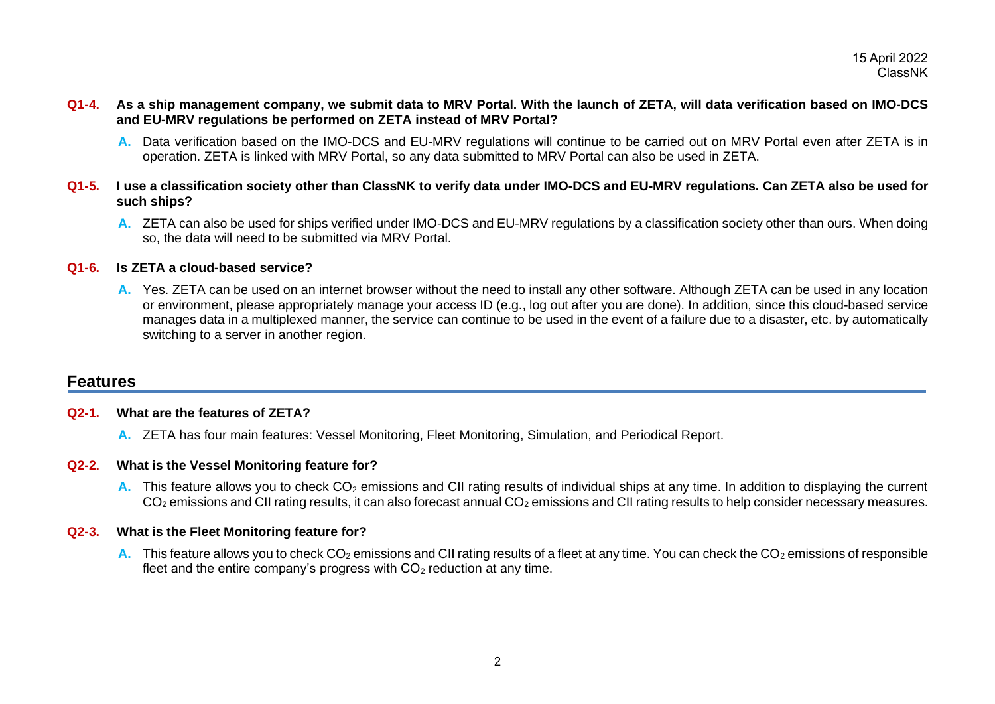- **Q1-4. As a ship management company, we submit data to MRV Portal. With the launch of ZETA, will data verification based on IMO-DCS and EU-MRV regulations be performed on ZETA instead of MRV Portal?**
	- **A.** Data verification based on the IMO-DCS and EU-MRV regulations will continue to be carried out on MRV Portal even after ZETA is in operation. ZETA is linked with MRV Portal, so any data submitted to MRV Portal can also be used in ZETA.
- **Q1-5. I use a classification society other than ClassNK to verify data under IMO-DCS and EU-MRV regulations. Can ZETA also be used for such ships?** 
	- **A.** ZETA can also be used for ships verified under IMO-DCS and EU-MRV regulations by a classification society other than ours. When doing so, the data will need to be submitted via MRV Portal.

#### **Q1-6. Is ZETA a cloud-based service?**

**A.** Yes. ZETA can be used on an internet browser without the need to install any other software. Although ZETA can be used in any location or environment, please appropriately manage your access ID (e.g., log out after you are done). In addition, since this cloud-based service manages data in a multiplexed manner, the service can continue to be used in the event of a failure due to a disaster, etc. by automatically switching to a server in another region.

# **Features**

#### **Q2-1. What are the features of ZETA?**

**A.** ZETA has four main features: Vessel Monitoring, Fleet Monitoring, Simulation, and Periodical Report.

#### **Q2-2. What is the Vessel Monitoring feature for?**

**A.** This feature allows you to check CO<sub>2</sub> emissions and CII rating results of individual ships at any time. In addition to displaying the current CO<sub>2</sub> emissions and CII rating results, it can also forecast annual CO<sub>2</sub> emissions and CII rating results to help consider necessary measures.

#### **Q2-3. What is the Fleet Monitoring feature for?**

**A.** This feature allows you to check CO<sub>2</sub> emissions and CII rating results of a fleet at any time. You can check the CO<sub>2</sub> emissions of responsible fleet and the entire company's progress with  $CO<sub>2</sub>$  reduction at any time.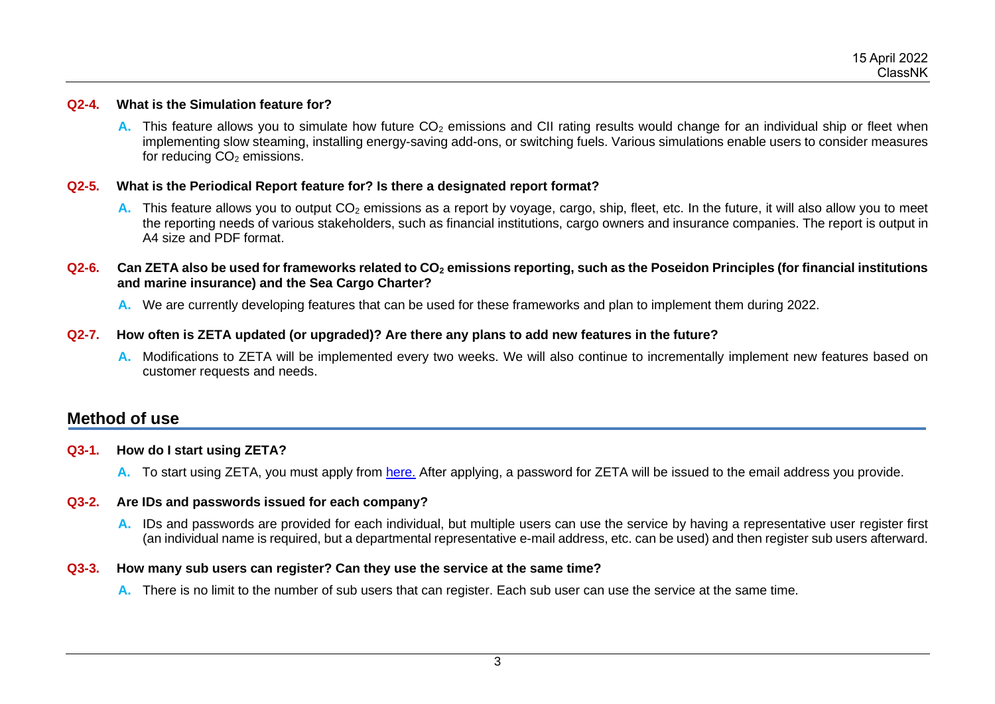#### **Q2-4. What is the Simulation feature for?**

**A.** This feature allows you to simulate how future CO<sub>2</sub> emissions and CII rating results would change for an individual ship or fleet when implementing slow steaming, installing energy-saving add-ons, or switching fuels. Various simulations enable users to consider measures for reducing  $CO<sub>2</sub>$  emissions.

#### **Q2-5. What is the Periodical Report feature for? Is there a designated report format?**

- A. This feature allows you to output CO<sub>2</sub> emissions as a report by voyage, cargo, ship, fleet, etc. In the future, it will also allow you to meet the reporting needs of various stakeholders, such as financial institutions, cargo owners and insurance companies. The report is output in A4 size and PDF format.
- **Q2-6. Can ZETA also be used for frameworks related to CO<sup>2</sup> emissions reporting, such as the Poseidon Principles (for financial institutions and marine insurance) and the Sea Cargo Charter?** 
	- **A.** We are currently developing features that can be used for these frameworks and plan to implement them during 2022.

#### **Q2-7. How often is ZETA updated (or upgraded)? Are there any plans to add new features in the future?**

**A.** Modifications to ZETA will be implemented every two weeks. We will also continue to incrementally implement new features based on customer requests and needs.

# **Method of use**

#### **Q3-1. How do I start using ZETA?**

**A.** To start using ZETA, you must apply from [here.](https://classnk.jotform.com/220730209316446) After applying, a password for ZETA will be issued to the email address you provide.

#### **Q3-2. Are IDs and passwords issued for each company?**

**A.** IDs and passwords are provided for each individual, but multiple users can use the service by having a representative user register first (an individual name is required, but a departmental representative e-mail address, etc. can be used) and then register sub users afterward.

#### **Q3-3. How many sub users can register? Can they use the service at the same time?**

**A.** There is no limit to the number of sub users that can register. Each sub user can use the service at the same time.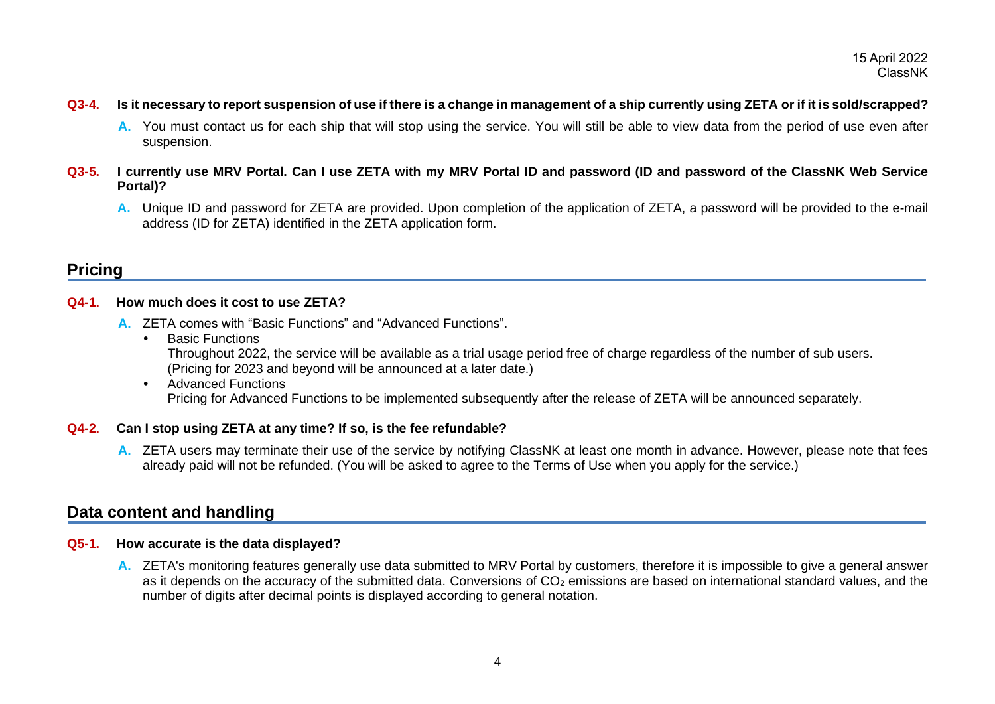- **Q3-4. Is it necessary to report suspension of use if there is a change in management of a ship currently using ZETA or if it is sold/scrapped?**
	- **A.** You must contact us for each ship that will stop using the service. You will still be able to view data from the period of use even after suspension.
- **Q3-5. I currently use MRV Portal. Can I use ZETA with my MRV Portal ID and password (ID and password of the ClassNK Web Service Portal)?**
	- **A.** Unique ID and password for ZETA are provided. Upon completion of the application of ZETA, a password will be provided to the e-mail address (ID for ZETA) identified in the ZETA application form.

# **Pricing**

#### **Q4-1. How much does it cost to use ZETA?**

- **A.** ZETA comes with "Basic Functions" and "Advanced Functions".
	- Basic Functions Throughout 2022, the service will be available as a trial usage period free of charge regardless of the number of sub users. (Pricing for 2023 and beyond will be announced at a later date.)
	- Advanced Functions Pricing for Advanced Functions to be implemented subsequently after the release of ZETA will be announced separately.

#### **Q4-2. Can I stop using ZETA at any time? If so, is the fee refundable?**

**A.** ZETA users may terminate their use of the service by notifying ClassNK at least one month in advance. However, please note that fees already paid will not be refunded. (You will be asked to agree to the Terms of Use when you apply for the service.)

# **Data content and handling**

#### **Q5-1. How accurate is the data displayed?**

**A.** ZETA's monitoring features generally use data submitted to MRV Portal by customers, therefore it is impossible to give a general answer as it depends on the accuracy of the submitted data. Conversions of CO<sub>2</sub> emissions are based on international standard values, and the number of digits after decimal points is displayed according to general notation.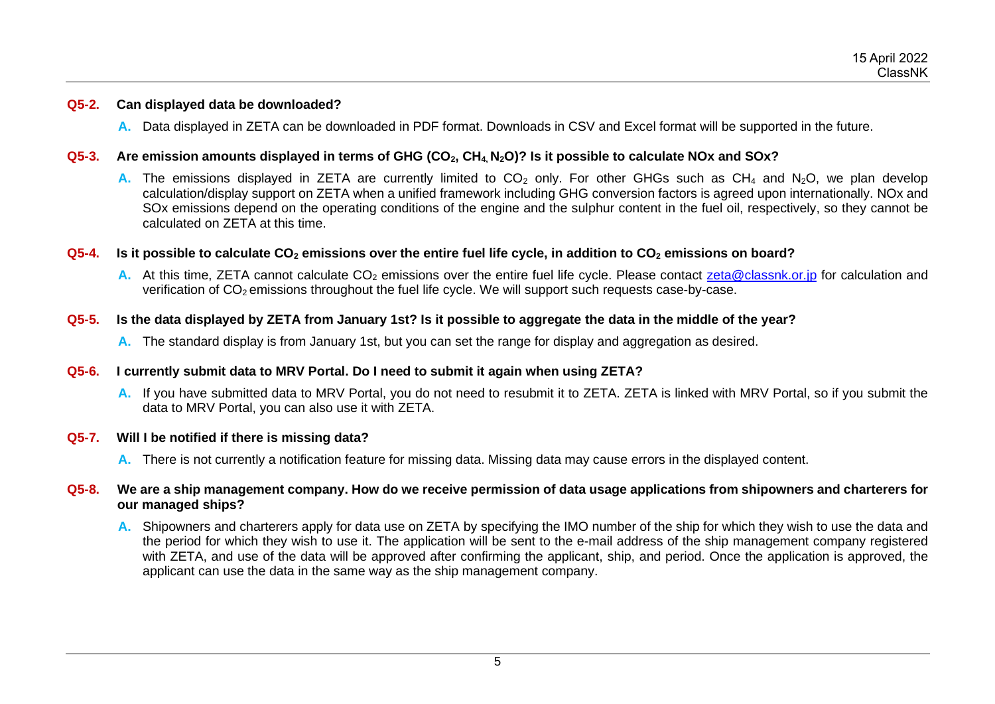#### **Q5-2. Can displayed data be downloaded?**

**A.** Data displayed in ZETA can be downloaded in PDF format. Downloads in CSV and Excel format will be supported in the future.

#### **Q5-3. Are emission amounts displayed in terms of GHG (CO2, CH4, N2O)? Is it possible to calculate NOx and SOx?**

**A.** The emissions displayed in ZETA are currently limited to CO<sub>2</sub> only. For other GHGs such as CH<sub>4</sub> and N<sub>2</sub>O, we plan develop calculation/display support on ZETA when a unified framework including GHG conversion factors is agreed upon internationally. NOx and SOx emissions depend on the operating conditions of the engine and the sulphur content in the fuel oil, respectively, so they cannot be calculated on ZETA at this time.

#### **Q5-4. Is it possible to calculate CO<sup>2</sup> emissions over the entire fuel life cycle, in addition to CO<sup>2</sup> emissions on board?**

**A.** At this time, ZETA cannot calculate CO<sub>2</sub> emissions over the entire fuel life cycle. Please contact [zeta@classnk.or.jp](mailto:zeta@classnk.or.jp) for calculation and verification of  $CO<sub>2</sub>$  emissions throughout the fuel life cycle. We will support such requests case-by-case.

#### **Q5-5. Is the data displayed by ZETA from January 1st? Is it possible to aggregate the data in the middle of the year?**

**A.** The standard display is from January 1st, but you can set the range for display and aggregation as desired.

#### **Q5-6. I currently submit data to MRV Portal. Do I need to submit it again when using ZETA?**

**A.** If you have submitted data to MRV Portal, you do not need to resubmit it to ZETA. ZETA is linked with MRV Portal, so if you submit the data to MRV Portal, you can also use it with ZETA.

#### **Q5-7. Will I be notified if there is missing data?**

**A.** There is not currently a notification feature for missing data. Missing data may cause errors in the displayed content.

#### **Q5-8. We are a ship management company. How do we receive permission of data usage applications from shipowners and charterers for our managed ships?**

**A.** Shipowners and charterers apply for data use on ZETA by specifying the IMO number of the ship for which they wish to use the data and the period for which they wish to use it. The application will be sent to the e-mail address of the ship management company registered with ZETA, and use of the data will be approved after confirming the applicant, ship, and period. Once the application is approved, the applicant can use the data in the same way as the ship management company.